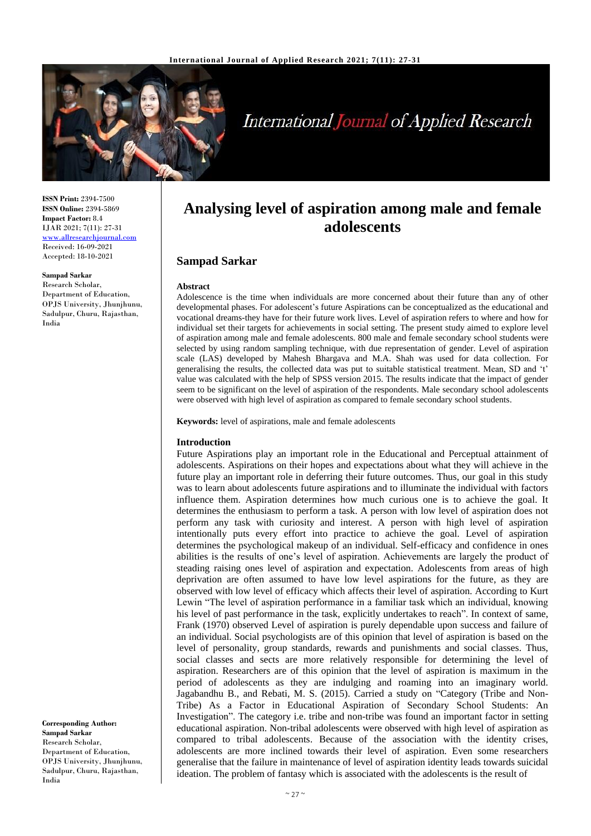

# **International Journal of Applied Research**

**ISSN Print:** 2394-7500 **ISSN Online:** 2394-5869 **Impact Factor:** 8.4 IJAR 2021; 7(11): 27-31 <www.allresearchjournal.com> Received: 16-09-2021 Accepted: 18-10-2021

#### **Sampad Sarkar**

Research Scholar, Department of Education, OPJS University, Jhunjhunu, Sadulpur, Churu, Rajasthan, India

**Corresponding Author: Sampad Sarkar** Research Scholar, Department of Education, OPJS University, Jhunjhunu, Sadulpur, Churu, Rajasthan, India

# **Analysing level of aspiration among male and female adolescents**

# **Sampad Sarkar**

#### **Abstract**

Adolescence is the time when individuals are more concerned about their future than any of other developmental phases. For adolescent's future Aspirations can be conceptualized as the educational and vocational dreams-they have for their future work lives. Level of aspiration refers to where and how for individual set their targets for achievements in social setting. The present study aimed to explore level of aspiration among male and female adolescents. 800 male and female secondary school students were selected by using random sampling technique, with due representation of gender. Level of aspiration scale (LAS) developed by Mahesh Bhargava and M.A. Shah was used for data collection. For generalising the results, the collected data was put to suitable statistical treatment. Mean, SD and 't' value was calculated with the help of SPSS version 2015. The results indicate that the impact of gender seem to be significant on the level of aspiration of the respondents. Male secondary school adolescents were observed with high level of aspiration as compared to female secondary school students.

**Keywords:** level of aspirations, male and female adolescents

#### **Introduction**

Future Aspirations play an important role in the Educational and Perceptual attainment of adolescents. Aspirations on their hopes and expectations about what they will achieve in the future play an important role in deferring their future outcomes. Thus, our goal in this study was to learn about adolescents future aspirations and to illuminate the individual with factors influence them. Aspiration determines how much curious one is to achieve the goal. It determines the enthusiasm to perform a task. A person with low level of aspiration does not perform any task with curiosity and interest. A person with high level of aspiration intentionally puts every effort into practice to achieve the goal. Level of aspiration determines the psychological makeup of an individual. Self-efficacy and confidence in ones abilities is the results of one's level of aspiration. Achievements are largely the product of steading raising ones level of aspiration and expectation. Adolescents from areas of high deprivation are often assumed to have low level aspirations for the future, as they are observed with low level of efficacy which affects their level of aspiration. According to Kurt Lewin "The level of aspiration performance in a familiar task which an individual, knowing his level of past performance in the task, explicitly undertakes to reach". In context of same, Frank (1970) observed Level of aspiration is purely dependable upon success and failure of an individual. Social psychologists are of this opinion that level of aspiration is based on the level of personality, group standards, rewards and punishments and social classes. Thus, social classes and sects are more relatively responsible for determining the level of aspiration. Researchers are of this opinion that the level of aspiration is maximum in the period of adolescents as they are indulging and roaming into an imaginary world. Jagabandhu B., and Rebati, M. S. (2015). Carried a study on "Category (Tribe and Non-Tribe) As a Factor in Educational Aspiration of Secondary School Students: An Investigation". The category i.e. tribe and non-tribe was found an important factor in setting educational aspiration. Non-tribal adolescents were observed with high level of aspiration as compared to tribal adolescents. Because of the association with the identity crises, adolescents are more inclined towards their level of aspiration. Even some researchers generalise that the failure in maintenance of level of aspiration identity leads towards suicidal ideation. The problem of fantasy which is associated with the adolescents is the result of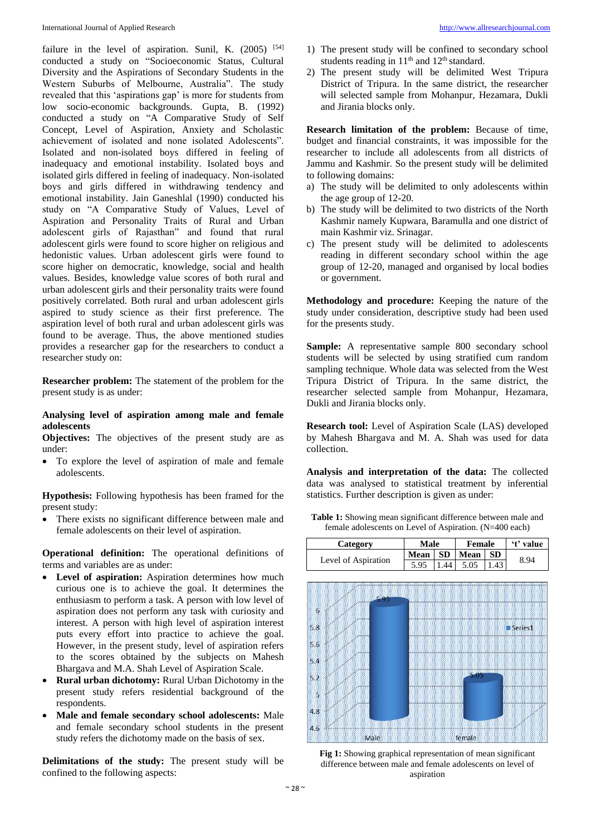failure in the level of aspiration. Sunil, K.  $(2005)$  [54] conducted a study on "Socioeconomic Status, Cultural Diversity and the Aspirations of Secondary Students in the Western Suburbs of Melbourne, Australia". The study revealed that this 'aspirations gap' is more for students from low socio-economic backgrounds. Gupta, B. (1992) conducted a study on "A Comparative Study of Self Concept, Level of Aspiration, Anxiety and Scholastic achievement of isolated and none isolated Adolescents". Isolated and non-isolated boys differed in feeling of inadequacy and emotional instability. Isolated boys and isolated girls differed in feeling of inadequacy. Non-isolated boys and girls differed in withdrawing tendency and emotional instability. Jain Ganeshlal (1990) conducted his study on "A Comparative Study of Values, Level of Aspiration and Personality Traits of Rural and Urban adolescent girls of Rajasthan" and found that rural adolescent girls were found to score higher on religious and hedonistic values. Urban adolescent girls were found to score higher on democratic, knowledge, social and health values. Besides, knowledge value scores of both rural and urban adolescent girls and their personality traits were found positively correlated. Both rural and urban adolescent girls aspired to study science as their first preference. The aspiration level of both rural and urban adolescent girls was found to be average. Thus, the above mentioned studies provides a researcher gap for the researchers to conduct a researcher study on:

**Researcher problem:** The statement of the problem for the present study is as under:

## **Analysing level of aspiration among male and female adolescents**

**Objectives:** The objectives of the present study are as under:

• To explore the level of aspiration of male and female adolescents.

**Hypothesis:** Following hypothesis has been framed for the present study:

• There exists no significant difference between male and female adolescents on their level of aspiration.

**Operational definition:** The operational definitions of terms and variables are as under:

- Level of aspiration: Aspiration determines how much curious one is to achieve the goal. It determines the enthusiasm to perform a task. A person with low level of aspiration does not perform any task with curiosity and interest. A person with high level of aspiration interest puts every effort into practice to achieve the goal. However, in the present study, level of aspiration refers to the scores obtained by the subjects on Mahesh Bhargava and M.A. Shah Level of Aspiration Scale.
- **Rural urban dichotomy:** Rural Urban Dichotomy in the present study refers residential background of the respondents.
- **Male and female secondary school adolescents:** Male and female secondary school students in the present study refers the dichotomy made on the basis of sex.

**Delimitations of the study:** The present study will be confined to the following aspects:

- 1) The present study will be confined to secondary school students reading in  $11<sup>th</sup>$  and  $12<sup>th</sup>$  standard.
- 2) The present study will be delimited West Tripura District of Tripura. In the same district, the researcher will selected sample from Mohanpur, Hezamara, Dukli and Jirania blocks only.

**Research limitation of the problem:** Because of time, budget and financial constraints, it was impossible for the researcher to include all adolescents from all districts of Jammu and Kashmir. So the present study will be delimited to following domains:

- a) The study will be delimited to only adolescents within the age group of 12-20.
- b) The study will be delimited to two districts of the North Kashmir namely Kupwara, Baramulla and one district of main Kashmir viz. Srinagar.
- c) The present study will be delimited to adolescents reading in different secondary school within the age group of 12-20, managed and organised by local bodies or government.

**Methodology and procedure:** Keeping the nature of the study under consideration, descriptive study had been used for the presents study.

Sample: A representative sample 800 secondary school students will be selected by using stratified cum random sampling technique. Whole data was selected from the West Tripura District of Tripura. In the same district, the researcher selected sample from Mohanpur, Hezamara, Dukli and Jirania blocks only.

**Research tool:** Level of Aspiration Scale (LAS) developed by Mahesh Bhargava and M. A. Shah was used for data collection.

**Analysis and interpretation of the data:** The collected data was analysed to statistical treatment by inferential statistics. Further description is given as under:

**Table 1:** Showing mean significant difference between male and female adolescents on Level of Aspiration. (N=400 each)





**Fig 1:** Showing graphical representation of mean significant difference between male and female adolescents on level of aspiration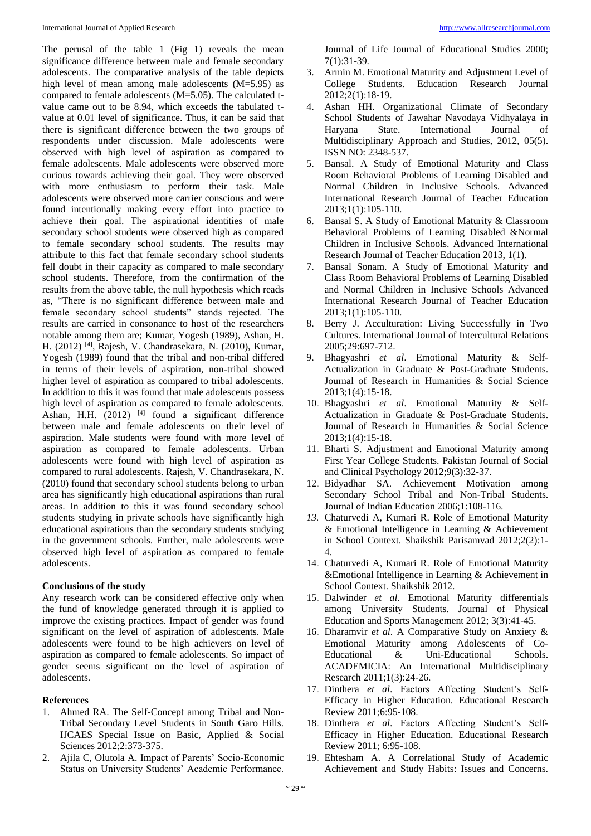The perusal of the table 1 (Fig 1) reveals the mean significance difference between male and female secondary adolescents. The comparative analysis of the table depicts high level of mean among male adolescents (M=5.95) as compared to female adolescents (M=5.05). The calculated tvalue came out to be 8.94, which exceeds the tabulated tvalue at 0.01 level of significance. Thus, it can be said that there is significant difference between the two groups of respondents under discussion. Male adolescents were observed with high level of aspiration as compared to female adolescents. Male adolescents were observed more curious towards achieving their goal. They were observed with more enthusiasm to perform their task. Male adolescents were observed more carrier conscious and were found intentionally making every effort into practice to achieve their goal. The aspirational identities of male secondary school students were observed high as compared to female secondary school students. The results may attribute to this fact that female secondary school students fell doubt in their capacity as compared to male secondary school students. Therefore, from the confirmation of the results from the above table, the null hypothesis which reads as, "There is no significant difference between male and female secondary school students" stands rejected. The results are carried in consonance to host of the researchers notable among them are; Kumar, Yogesh (1989), Ashan, H. H. (2012) <sup>[4]</sup>, Rajesh, V. Chandrasekara, N. (2010), Kumar, Yogesh (1989) found that the tribal and non-tribal differed in terms of their levels of aspiration, non-tribal showed higher level of aspiration as compared to tribal adolescents. In addition to this it was found that male adolescents possess high level of aspiration as compared to female adolescents. Ashan, H.H.  $(2012)$ <sup>[4]</sup> found a significant difference between male and female adolescents on their level of aspiration. Male students were found with more level of aspiration as compared to female adolescents. Urban adolescents were found with high level of aspiration as compared to rural adolescents. Rajesh, V. Chandrasekara, N. (2010) found that secondary school students belong to urban area has significantly high educational aspirations than rural areas. In addition to this it was found secondary school students studying in private schools have significantly high educational aspirations than the secondary students studying in the government schools. Further, male adolescents were observed high level of aspiration as compared to female adolescents.

#### **Conclusions of the study**

Any research work can be considered effective only when the fund of knowledge generated through it is applied to improve the existing practices. Impact of gender was found significant on the level of aspiration of adolescents. Male adolescents were found to be high achievers on level of aspiration as compared to female adolescents. So impact of gender seems significant on the level of aspiration of adolescents.

### **References**

- 1. Ahmed RA. The Self-Concept among Tribal and Non-Tribal Secondary Level Students in South Garo Hills. IJCAES Special Issue on Basic, Applied & Social Sciences 2012;2:373-375.
- 2. Ajila C, Olutola A. Impact of Parents' Socio-Economic Status on University Students' Academic Performance.

Journal of Life Journal of Educational Studies 2000; 7(1):31-39.

- 3. Armin M. Emotional Maturity and Adjustment Level of College Students. Education Research Journal  $2012;2(1):18-19.$
- 4. Ashan HH. Organizational Climate of Secondary School Students of Jawahar Navodaya Vidhyalaya in Haryana State. International Journal of Multidisciplinary Approach and Studies, 2012, 05(5). ISSN NO: 2348-537.
- 5. Bansal. A Study of Emotional Maturity and Class Room Behavioral Problems of Learning Disabled and Normal Children in Inclusive Schools. Advanced International Research Journal of Teacher Education 2013;1(1):105-110.
- 6. Bansal S. A Study of Emotional Maturity & Classroom Behavioral Problems of Learning Disabled &Normal Children in Inclusive Schools. Advanced International Research Journal of Teacher Education 2013, 1(1).
- 7. Bansal Sonam. A Study of Emotional Maturity and Class Room Behavioral Problems of Learning Disabled and Normal Children in Inclusive Schools Advanced International Research Journal of Teacher Education 2013;1(1):105-110.
- 8. Berry J. Acculturation: Living Successfully in Two Cultures. International Journal of Intercultural Relations 2005;29:697-712.
- 9. Bhagyashri *et al*. Emotional Maturity & Self-Actualization in Graduate & Post-Graduate Students. Journal of Research in Humanities & Social Science 2013;1(4):15-18.
- 10. Bhagyashri *et al*. Emotional Maturity & Self-Actualization in Graduate & Post-Graduate Students. Journal of Research in Humanities & Social Science 2013;1(4):15-18.
- 11. Bharti S. Adjustment and Emotional Maturity among First Year College Students. Pakistan Journal of Social and Clinical Psychology 2012;9(3):32-37.
- 12. Bidyadhar SA. Achievement Motivation among Secondary School Tribal and Non-Tribal Students. Journal of Indian Education 2006;1:108-116.
- *13.* Chaturvedi A, Kumari R. Role of Emotional Maturity & Emotional Intelligence in Learning & Achievement in School Context. Shaikshik Parisamvad 2012;2(2):1- 4.
- 14. Chaturvedi A, Kumari R. Role of Emotional Maturity &Emotional Intelligence in Learning & Achievement in School Context. Shaikshik 2012.
- 15. Dalwinder *et al*. Emotional Maturity differentials among University Students. Journal of Physical Education and Sports Management 2012; 3(3):41-45.
- 16. Dharamvir *et al*. A Comparative Study on Anxiety & Emotional Maturity among Adolescents of Co-Educational & Uni-Educational Schools. ACADEMICIA: An International Multidisciplinary Research 2011;1(3):24-26.
- 17. Dinthera *et al*. Factors Affecting Student's Self-Efficacy in Higher Education. Educational Research Review 2011;6:95-108.
- 18. Dinthera *et al*. Factors Affecting Student's Self-Efficacy in Higher Education. Educational Research Review 2011; 6:95-108.
- 19. Ehtesham A. A Correlational Study of Academic Achievement and Study Habits: Issues and Concerns.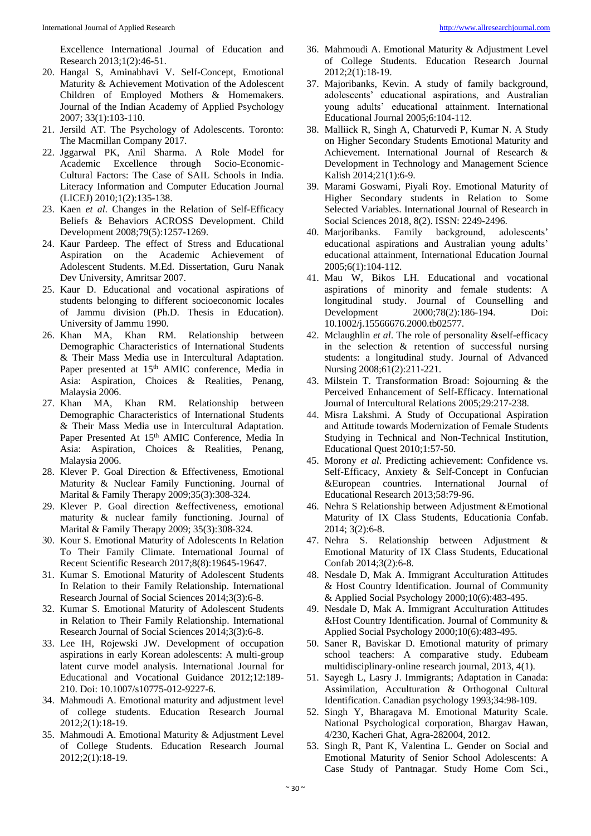Excellence International Journal of Education and Research 2013;1(2):46-51.

- 20. Hangal S, Aminabhavi V. Self-Concept, Emotional Maturity & Achievement Motivation of the Adolescent Children of Employed Mothers & Homemakers. Journal of the Indian Academy of Applied Psychology 2007; 33(1):103-110.
- 21. Jersild AT. The Psychology of Adolescents. Toronto: The Macmillan Company 2017.
- 22. Jggarwal PK, Anil Sharma. A Role Model for Academic Excellence through Socio-Economic-Cultural Factors: The Case of SAIL Schools in India. Literacy Information and Computer Education Journal (LICEJ) 2010;1(2):135-138.
- 23. Kaen *et al*. Changes in the Relation of Self-Efficacy Beliefs & Behaviors ACROSS Development. Child Development 2008;79(5):1257-1269.
- 24. Kaur Pardeep. The effect of Stress and Educational Aspiration on the Academic Achievement of Adolescent Students. M.Ed. Dissertation, Guru Nanak Dev University, Amritsar 2007.
- 25. Kaur D. Educational and vocational aspirations of students belonging to different socioeconomic locales of Jammu division (Ph.D. Thesis in Education). University of Jammu 1990.
- 26. Khan MA, Khan RM. Relationship between Demographic Characteristics of International Students & Their Mass Media use in Intercultural Adaptation. Paper presented at 15<sup>th</sup> AMIC conference, Media in Asia: Aspiration, Choices & Realities, Penang, Malaysia 2006.
- 27. Khan MA, Khan RM. Relationship between Demographic Characteristics of International Students & Their Mass Media use in Intercultural Adaptation. Paper Presented At 15<sup>th</sup> AMIC Conference, Media In Asia: Aspiration, Choices & Realities, Penang, Malaysia 2006.
- 28. Klever P. Goal Direction & Effectiveness, Emotional Maturity & Nuclear Family Functioning. Journal of Marital & Family Therapy 2009;35(3):308-324.
- 29. Klever P. Goal direction &effectiveness, emotional maturity & nuclear family functioning. Journal of Marital & Family Therapy 2009; 35(3):308-324.
- 30. Kour S. Emotional Maturity of Adolescents In Relation To Their Family Climate. International Journal of Recent Scientific Research 2017;8(8):19645-19647.
- 31. Kumar S. Emotional Maturity of Adolescent Students In Relation to their Family Relationship. International Research Journal of Social Sciences 2014;3(3):6-8.
- 32. Kumar S. Emotional Maturity of Adolescent Students in Relation to Their Family Relationship. International Research Journal of Social Sciences 2014;3(3):6-8.
- 33. Lee IH, Rojewski JW. Development of occupation aspirations in early Korean adolescents: A multi-group latent curve model analysis. International Journal for Educational and Vocational Guidance 2012;12:189- 210. Doi: 10.1007/s10775-012-9227-6.
- 34. Mahmoudi A. Emotional maturity and adjustment level of college students. Education Research Journal 2012;2(1):18-19.
- 35. Mahmoudi A. Emotional Maturity & Adjustment Level of College Students. Education Research Journal 2012;2(1):18-19.
- 36. Mahmoudi A. Emotional Maturity & Adjustment Level of College Students. Education Research Journal 2012;2(1):18-19.
- 37. Majoribanks, Kevin. A study of family background, adolescents' educational aspirations, and Australian young adults' educational attainment. International Educational Journal 2005;6:104-112.
- 38. Malliick R, Singh A, Chaturvedi P, Kumar N. A Study on Higher Secondary Students Emotional Maturity and Achievement. International Journal of Research & Development in Technology and Management Science Kalish 2014;21(1):6-9.
- 39. Marami Goswami, Piyali Roy. Emotional Maturity of Higher Secondary students in Relation to Some Selected Variables. International Journal of Research in Social Sciences 2018, 8(2). ISSN: 2249-2496.
- 40. Marjoribanks. Family background, adolescents' educational aspirations and Australian young adults' educational attainment, International Education Journal 2005;6(1):104-112.
- 41. Mau W, Bikos LH. Educational and vocational aspirations of minority and female students: A longitudinal study. Journal of Counselling and Development 2000;78(2):186-194. Doi: 10.1002/j.15566676.2000.tb02577.
- 42. Mclaughlin *et al*. The role of personality &self-efficacy in the selection & retention of successful nursing students: a longitudinal study. Journal of Advanced Nursing 2008;61(2):211-221.
- 43. Milstein T. Transformation Broad: Sojourning & the Perceived Enhancement of Self-Efficacy. International Journal of Intercultural Relations 2005;29:217-238.
- 44. Misra Lakshmi. A Study of Occupational Aspiration and Attitude towards Modernization of Female Students Studying in Technical and Non-Technical Institution, Educational Quest 2010;1:57-50.
- 45. Morony *et al*. Predicting achievement: Confidence vs. Self-Efficacy, Anxiety & Self-Concept in Confucian &European countries. International Journal of Educational Research 2013;58:79-96.
- 46. Nehra S Relationship between Adjustment &Emotional Maturity of IX Class Students, Educationia Confab. 2014; 3(2):6-8.
- 47. Nehra S. Relationship between Adjustment & Emotional Maturity of IX Class Students, Educational Confab 2014;3(2):6-8.
- 48. Nesdale D, Mak A. Immigrant Acculturation Attitudes & Host Country Identification. Journal of Community & Applied Social Psychology 2000;10(6):483-495.
- 49. Nesdale D, Mak A. Immigrant Acculturation Attitudes &Host Country Identification. Journal of Community & Applied Social Psychology 2000;10(6):483-495.
- 50. Saner R, Baviskar D. Emotional maturity of primary school teachers: A comparative study. Edubeam multidisciplinary-online research journal, 2013, 4(1).
- 51. Sayegh L, Lasry J. Immigrants; Adaptation in Canada: Assimilation, Acculturation & Orthogonal Cultural Identification. Canadian psychology 1993;34:98-109.
- 52. Singh Y, Bharagava M. Emotional Maturity Scale. National Psychological corporation, Bhargav Hawan, 4/230, Kacheri Ghat, Agra-282004, 2012.
- 53. Singh R, Pant K, Valentina L. Gender on Social and Emotional Maturity of Senior School Adolescents: A Case Study of Pantnagar. Study Home Com Sci.,